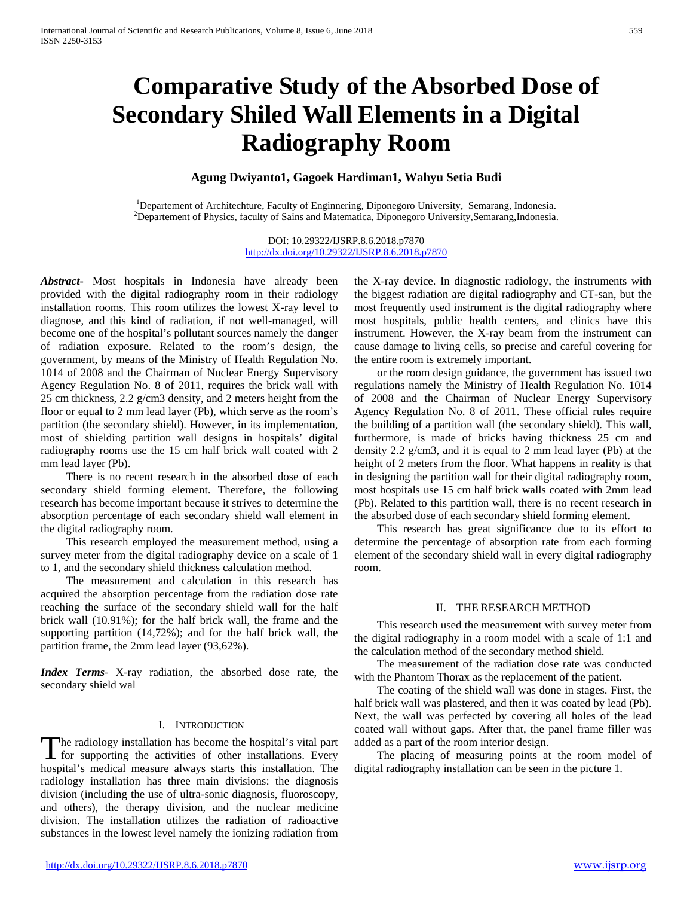# **Comparative Study of the Absorbed Dose of Secondary Shiled Wall Elements in a Digital Radiography Room**

# **Agung Dwiyanto1, Gagoek Hardiman1, Wahyu Setia Budi**

<sup>1</sup>Departement of Architechture, Faculty of Enginnering, Diponegoro University, Semarang, Indonesia. <sup>2</sup>Departement of Physics, faculty of Sains and Matematica, Diponegoro University, Semarang, Indonesia.

> DOI: 10.29322/IJSRP.8.6.2018.p7870 <http://dx.doi.org/10.29322/IJSRP.8.6.2018.p7870>

*Abstract***-** Most hospitals in Indonesia have already been provided with the digital radiography room in their radiology installation rooms. This room utilizes the lowest X-ray level to diagnose, and this kind of radiation, if not well-managed, will become one of the hospital's pollutant sources namely the danger of radiation exposure. Related to the room's design, the government, by means of the Ministry of Health Regulation No. 1014 of 2008 and the Chairman of Nuclear Energy Supervisory Agency Regulation No. 8 of 2011, requires the brick wall with 25 cm thickness, 2.2 g/cm3 density, and 2 meters height from the floor or equal to 2 mm lead layer (Pb), which serve as the room's partition (the secondary shield). However, in its implementation, most of shielding partition wall designs in hospitals' digital radiography rooms use the 15 cm half brick wall coated with 2 mm lead layer (Pb).

 There is no recent research in the absorbed dose of each secondary shield forming element. Therefore, the following research has become important because it strives to determine the absorption percentage of each secondary shield wall element in the digital radiography room.

 This research employed the measurement method, using a survey meter from the digital radiography device on a scale of 1 to 1, and the secondary shield thickness calculation method.

 The measurement and calculation in this research has acquired the absorption percentage from the radiation dose rate reaching the surface of the secondary shield wall for the half brick wall (10.91%); for the half brick wall, the frame and the supporting partition (14,72%); and for the half brick wall, the partition frame, the 2mm lead layer (93,62%).

*Index Terms*- X-ray radiation, the absorbed dose rate, the secondary shield wal

## I. INTRODUCTION

he radiology installation has become the hospital's vital part The radiology installation has become the hospital's vital part<br>for supporting the activities of other installations. Every hospital's medical measure always starts this installation. The radiology installation has three main divisions: the diagnosis division (including the use of ultra-sonic diagnosis, fluoroscopy, and others), the therapy division, and the nuclear medicine division. The installation utilizes the radiation of radioactive substances in the lowest level namely the ionizing radiation from

the X-ray device. In diagnostic radiology, the instruments with the biggest radiation are digital radiography and CT-san, but the most frequently used instrument is the digital radiography where most hospitals, public health centers, and clinics have this instrument. However, the X-ray beam from the instrument can cause damage to living cells, so precise and careful covering for the entire room is extremely important.

 or the room design guidance, the government has issued two regulations namely the Ministry of Health Regulation No. 1014 of 2008 and the Chairman of Nuclear Energy Supervisory Agency Regulation No. 8 of 2011. These official rules require the building of a partition wall (the secondary shield). This wall, furthermore, is made of bricks having thickness 25 cm and density 2.2 g/cm3, and it is equal to 2 mm lead layer (Pb) at the height of 2 meters from the floor. What happens in reality is that in designing the partition wall for their digital radiography room, most hospitals use 15 cm half brick walls coated with 2mm lead (Pb). Related to this partition wall, there is no recent research in the absorbed dose of each secondary shield forming element.

 This research has great significance due to its effort to determine the percentage of absorption rate from each forming element of the secondary shield wall in every digital radiography room.

#### II. THE RESEARCH METHOD

 This research used the measurement with survey meter from the digital radiography in a room model with a scale of 1:1 and the calculation method of the secondary method shield.

 The measurement of the radiation dose rate was conducted with the Phantom Thorax as the replacement of the patient.

 The coating of the shield wall was done in stages. First, the half brick wall was plastered, and then it was coated by lead (Pb). Next, the wall was perfected by covering all holes of the lead coated wall without gaps. After that, the panel frame filler was added as a part of the room interior design.

 The placing of measuring points at the room model of digital radiography installation can be seen in the picture 1.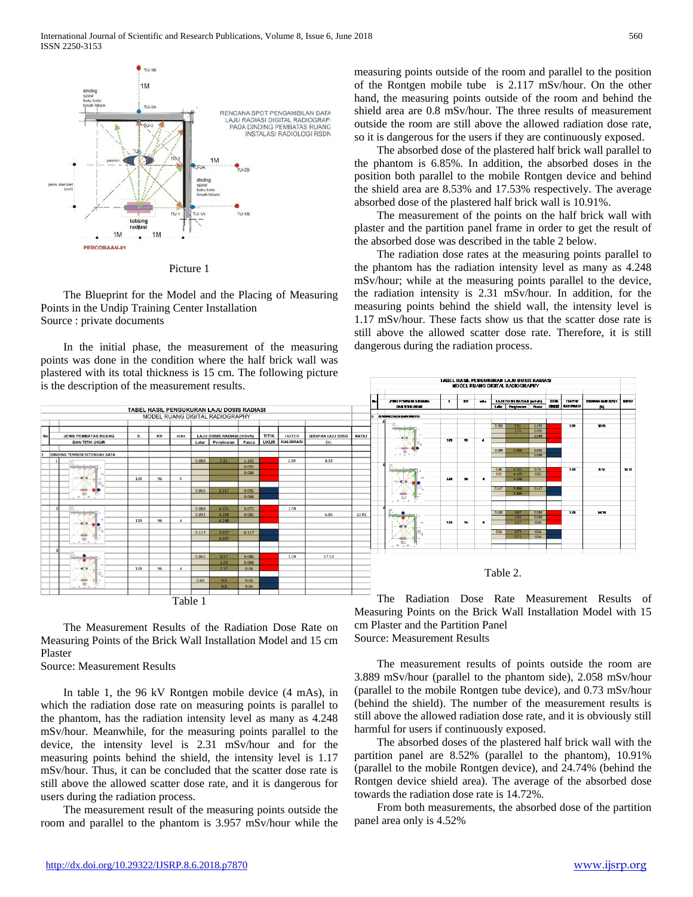

Picture 1

 The Blueprint for the Model and the Placing of Measuring Points in the Undip Training Center Installation Source : private documents

 In the initial phase, the measurement of the measuring points was done in the condition where the half brick wall was plastered with its total thickness is 15 cm. The following picture is the description of the measurement results.



 The Measurement Results of the Radiation Dose Rate on Measuring Points of the Brick Wall Installation Model and 15 cm Plaster

Source: Measurement Results

 In table 1, the 96 kV Rontgen mobile device (4 mAs), in which the radiation dose rate on measuring points is parallel to the phantom, has the radiation intensity level as many as 4.248 mSv/hour. Meanwhile, for the measuring points parallel to the device, the intensity level is 2.31 mSv/hour and for the measuring points behind the shield, the intensity level is 1.17 mSv/hour. Thus, it can be concluded that the scatter dose rate is still above the allowed scatter dose rate, and it is dangerous for users during the radiation process.

 The measurement result of the measuring points outside the room and parallel to the phantom is 3.957 mSv/hour while the measuring points outside of the room and parallel to the position of the Rontgen mobile tube is 2.117 mSv/hour. On the other hand, the measuring points outside of the room and behind the shield area are 0.8 mSv/hour. The three results of measurement outside the room are still above the allowed radiation dose rate, so it is dangerous for the users if they are continuously exposed.

 The absorbed dose of the plastered half brick wall parallel to the phantom is 6.85%. In addition, the absorbed doses in the position both parallel to the mobile Rontgen device and behind the shield area are 8.53% and 17.53% respectively. The average absorbed dose of the plastered half brick wall is 10.91%.

 The measurement of the points on the half brick wall with plaster and the partition panel frame in order to get the result of the absorbed dose was described in the table 2 below.

 The radiation dose rates at the measuring points parallel to the phantom has the radiation intensity level as many as 4.248 mSv/hour; while at the measuring points parallel to the device, the radiation intensity is 2.31 mSv/hour. In addition, for the measuring points behind the shield wall, the intensity level is 1.17 mSv/hour. These facts show us that the scatter dose rate is still above the allowed scatter dose rate. Therefore, it is still dangerous during the radiation process.



 The Radiation Dose Rate Measurement Results of Measuring Points on the Brick Wall Installation Model with 15 cm Plaster and the Partition Panel Source: Measurement Results

 The measurement results of points outside the room are 3.889 mSv/hour (parallel to the phantom side), 2.058 mSv/hour (parallel to the mobile Rontgen tube device), and 0.73 mSv/hour (behind the shield). The number of the measurement results is still above the allowed radiation dose rate, and it is obviously still harmful for users if continuously exposed.

 The absorbed doses of the plastered half brick wall with the partition panel are 8.52% (parallel to the phantom), 10.91% (parallel to the mobile Rontgen device), and 24.74% (behind the Rontgen device shield area). The average of the absorbed dose towards the radiation dose rate is 14.72%.

 From both measurements, the absorbed dose of the partition panel area only is 4.52%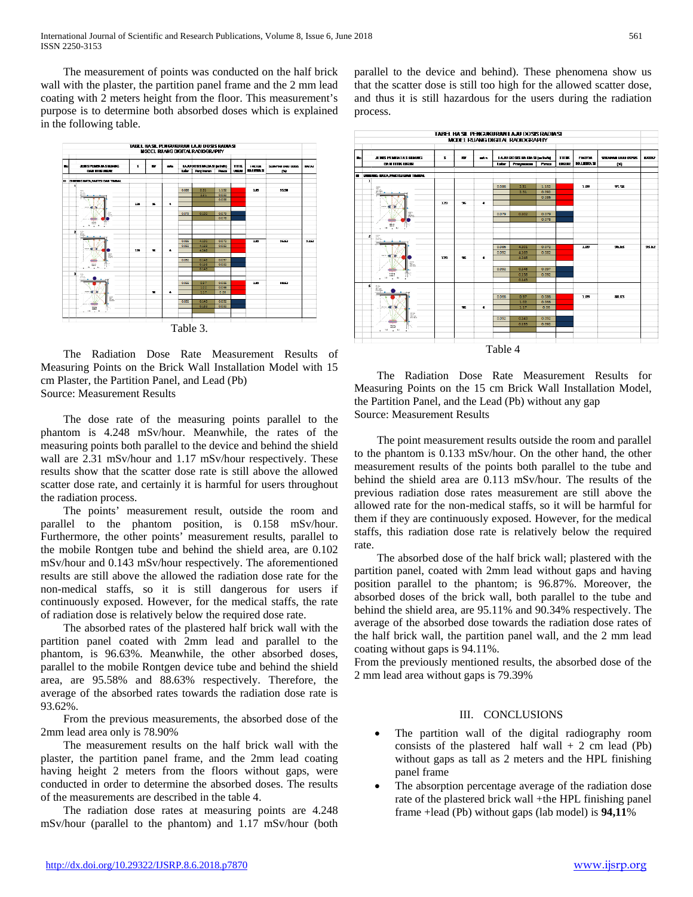The measurement of points was conducted on the half brick wall with the plaster, the partition panel frame and the 2 mm lead coating with 2 meters height from the floor. This measurement's purpose is to determine both absorbed doses which is explained in the following table.



 The Radiation Dose Rate Measurement Results of Measuring Points on the Brick Wall Installation Model with 15 cm Plaster, the Partition Panel, and Lead (Pb) Source: Measurement Results

 The dose rate of the measuring points parallel to the phantom is 4.248 mSv/hour. Meanwhile, the rates of the measuring points both parallel to the device and behind the shield wall are 2.31 mSv/hour and 1.17 mSv/hour respectively. These results show that the scatter dose rate is still above the allowed scatter dose rate, and certainly it is harmful for users throughout the radiation process.

 The points' measurement result, outside the room and parallel to the phantom position, is 0.158 mSv/hour. Furthermore, the other points' measurement results, parallel to the mobile Rontgen tube and behind the shield area, are 0.102 mSv/hour and 0.143 mSv/hour respectively. The aforementioned results are still above the allowed the radiation dose rate for the non-medical staffs, so it is still dangerous for users if continuously exposed. However, for the medical staffs, the rate of radiation dose is relatively below the required dose rate.

 The absorbed rates of the plastered half brick wall with the partition panel coated with 2mm lead and parallel to the phantom, is 96.63%. Meanwhile, the other absorbed doses, parallel to the mobile Rontgen device tube and behind the shield area, are 95.58% and 88.63% respectively. Therefore, the average of the absorbed rates towards the radiation dose rate is 93.62%.

 From the previous measurements, the absorbed dose of the 2mm lead area only is 78.90%

 The measurement results on the half brick wall with the plaster, the partition panel frame, and the 2mm lead coating having height 2 meters from the floors without gaps, were conducted in order to determine the absorbed doses. The results of the measurements are described in the table 4.

 The radiation dose rates at measuring points are 4.248 mSv/hour (parallel to the phantom) and 1.17 mSv/hour (both parallel to the device and behind). These phenomena show us that the scatter dose is still too high for the allowed scatter dose, and thus it is still hazardous for the users during the radiation process.



 The Radiation Dose Rate Measurement Results for Measuring Points on the 15 cm Brick Wall Installation Model, the Partition Panel, and the Lead (Pb) without any gap Source: Measurement Results

 The point measurement results outside the room and parallel to the phantom is 0.133 mSv/hour. On the other hand, the other measurement results of the points both parallel to the tube and behind the shield area are 0.113 mSv/hour. The results of the previous radiation dose rates measurement are still above the allowed rate for the non-medical staffs, so it will be harmful for them if they are continuously exposed. However, for the medical staffs, this radiation dose rate is relatively below the required rate.

 The absorbed dose of the half brick wall; plastered with the partition panel, coated with 2mm lead without gaps and having position parallel to the phantom; is 96.87%. Moreover, the absorbed doses of the brick wall, both parallel to the tube and behind the shield area, are 95.11% and 90.34% respectively. The average of the absorbed dose towards the radiation dose rates of the half brick wall, the partition panel wall, and the 2 mm lead coating without gaps is 94.11%.

From the previously mentioned results, the absorbed dose of the 2 mm lead area without gaps is 79.39%

## III. CONCLUSIONS

- The partition wall of the digital radiography room consists of the plastered half wall  $+ 2$  cm lead (Pb) without gaps as tall as 2 meters and the HPL finishing panel frame
- The absorption percentage average of the radiation dose rate of the plastered brick wall +the HPL finishing panel frame +lead (Pb) without gaps (lab model) is **94,11**%